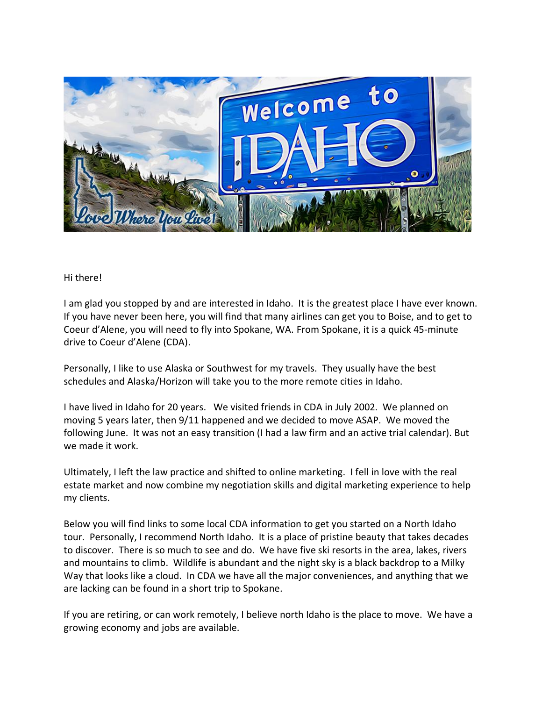

## Hi there!

I am glad you stopped by and are interested in Idaho. It is the greatest place I have ever known. If you have never been here, you will find that many airlines can get you to Boise, and to get to Coeur d'Alene, you will need to fly into Spokane, WA. From Spokane, it is a quick 45-minute drive to Coeur d'Alene (CDA).

Personally, I like to use Alaska or Southwest for my travels. They usually have the best schedules and Alaska/Horizon will take you to the more remote cities in Idaho.

I have lived in Idaho for 20 years. We visited friends in CDA in July 2002. We planned on moving 5 years later, then 9/11 happened and we decided to move ASAP. We moved the following June. It was not an easy transition (I had a law firm and an active trial calendar). But we made it work.

Ultimately, I left the law practice and shifted to online marketing. I fell in love with the real estate market and now combine my negotiation skills and digital marketing experience to help my clients.

Below you will find links to some local CDA information to get you started on a North Idaho tour. Personally, I recommend North Idaho. It is a place of pristine beauty that takes decades to discover. There is so much to see and do. We have five ski resorts in the area, lakes, rivers and mountains to climb. Wildlife is abundant and the night sky is a black backdrop to a Milky Way that looks like a cloud. In CDA we have all the major conveniences, and anything that we are lacking can be found in a short trip to Spokane.

If you are retiring, or can work remotely, I believe north Idaho is the place to move. We have a growing economy and jobs are available.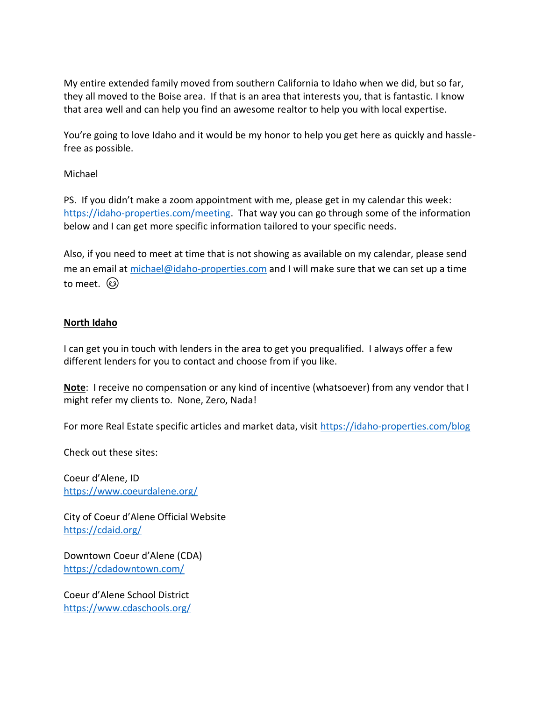My entire extended family moved from southern California to Idaho when we did, but so far, they all moved to the Boise area. If that is an area that interests you, that is fantastic. I know that area well and can help you find an awesome realtor to help you with local expertise.

You're going to love Idaho and it would be my honor to help you get here as quickly and hasslefree as possible.

Michael

PS. If you didn't make a zoom appointment with me, please get in my calendar this week: [https://idaho-properties.com/meeting.](https://idaho-properties.com/meeting) That way you can go through some of the information below and I can get more specific information tailored to your specific needs.

Also, if you need to meet at time that is not showing as available on my calendar, please send me an email at [michael@idaho-properties.com](mailto:michael@idaho-properties.com) and I will make sure that we can set up a time to meet. ශ

## **North Idaho**

I can get you in touch with lenders in the area to get you prequalified. I always offer a few different lenders for you to contact and choose from if you like.

**Note**: I receive no compensation or any kind of incentive (whatsoever) from any vendor that I might refer my clients to. None, Zero, Nada!

For more Real Estate specific articles and market data, visit<https://idaho-properties.com/blog>

Check out these sites:

Coeur d'Alene, ID <https://www.coeurdalene.org/>

City of Coeur d'Alene Official Website <https://cdaid.org/>

Downtown Coeur d'Alene (CDA) <https://cdadowntown.com/>

Coeur d'Alene School District <https://www.cdaschools.org/>